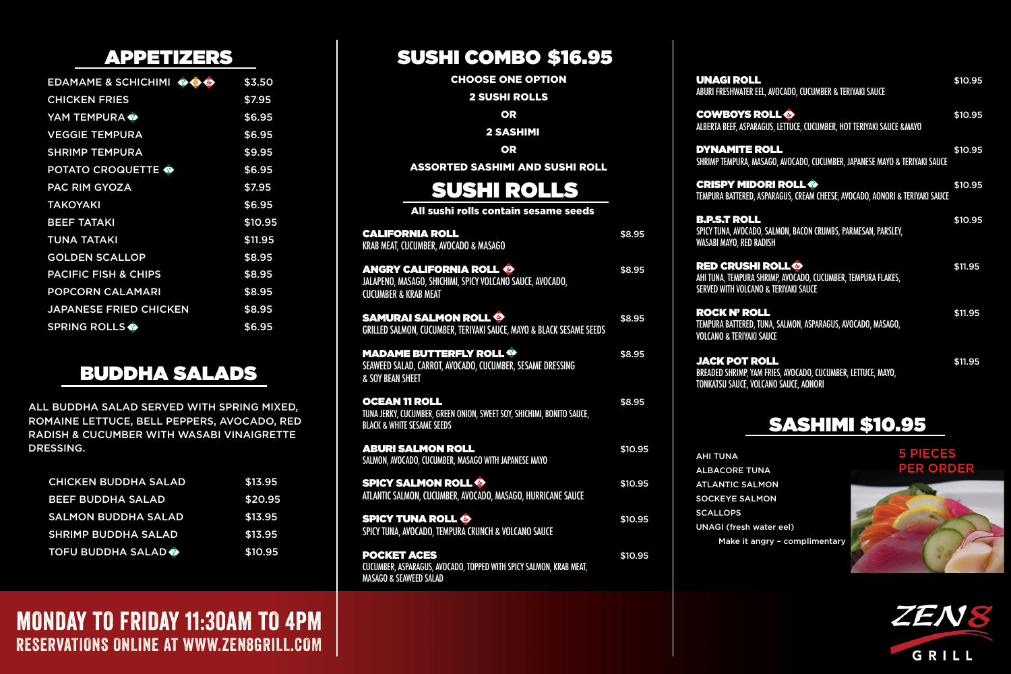| EDAMAME & SCHICHIMI OG          | \$3.50  |
|---------------------------------|---------|
| <b>CHICKEN FRIES</b>            | \$7.95  |
| YAM TEMPURA                     | \$6.95  |
| <b>VEGGIE TEMPURA</b>           | \$6.95  |
| <b>SHRIMP TEMPURA</b>           | \$9.95  |
| <b>POTATO CROQUETTE @</b>       | \$6.95  |
| <b>PAC RIM GYOZA</b>            | \$7.95  |
| <b>TAKOYAKI</b>                 | \$6.95  |
| <b>BEEF TATAKI</b>              | \$10.95 |
| <b>TUNA TATAKI</b>              | \$11.95 |
| <b>GOLDEN SCALLOP</b>           | \$8.95  |
| <b>PACIFIC FISH &amp; CHIPS</b> | \$8.95  |
| <b>POPCORN CALAMARI</b>         | \$8.95  |
| <b>JAPANESE FRIED CHICKEN</b>   | \$8.95  |
| <b>SPRING ROLLS</b>             | \$6.95  |

#### APPETIZERS

| <b>CHICKEN BUDDHA SALAD</b>    | \$13.95 |
|--------------------------------|---------|
| <b>BEEF BUDDHA SALAD</b>       | \$20.95 |
| <b>SALMON BUDDHA SALAD</b>     | \$13.95 |
| <b>SHRIMP BUDDHA SALAD</b>     | \$13.95 |
| <b>TOFU BUDDHA SALAD &amp;</b> | \$10.95 |

### BUDDHA SALADS

ALL BUDDHA SALAD SERVED WITH SPRING MIXED, ROMAINE LETTUCE, BELL PEPPERS, AVOCADO, RED RADISH & CUCUMBER WITH WASABI VINAIGRETTE DRESSING.

CHOOSE ONE OPTION

2 SUSHI ROLLS

OR

2 SASHIMI

OR

ASSORTED SASHIMI AND SUSHI ROLL

All sushi rolls contain sesame seeds

#### SUSHI COMBO \$16.95

# SUSHI ROLLS

| <b>CALIFORNIA ROLL</b><br>KRAB MEAT, CUCUMBER, AVOCADO & MASAGO                                                                        | \$8.95  |
|----------------------------------------------------------------------------------------------------------------------------------------|---------|
| <b>ANGRY CALIFORNIA ROLL &amp;</b><br>JALAPENO, MASAGO, SHICHIMI, SPICY VOLCANO SAUCE, AVOCADO,<br><b>CUCUMBER &amp; KRAB MEAT</b>     | \$8.95  |
| <b>SAMURAI SALMON ROLL ®</b><br>GRILLED SALMON, CUCUMBER, TERIYAKI SAUCE, MAYO & BLACK SESAME SEEDS                                    | \$8.95  |
| <b>MADAME BUTTERFLY ROLL ®</b><br>SEAWEED SALAD, CARROT, AVOCADO, CUCUMBER, SESAME DRESSING<br><b>&amp; SOY BEAN SHEET</b>             | \$8.95  |
| <b>OCEAN 11 ROLL</b><br>TUNA JERKY, CUCUMBER, GREEN ONION, SWEET SOY, SHICHIMI, BONITO SAUCE,<br><b>BLACK &amp; WHITE SESAME SEEDS</b> | \$8.95  |
| <b>ABURI SALMON ROLL</b><br>SALMON, AVOCADO, CUCUMBER, MASAGO WITH JAPANESE MAYO                                                       | \$10.95 |
| <b>SPICY SALMON ROLL ®</b><br>ATLANTIC SALMON, CUCUMBER, AVOCADO, MASAGO, HURRICANE SAUCE                                              | \$10.95 |
| <b>SPICY TUNA ROLL ®</b><br>SPICY TUNA, AVOCADO, TEMPURA CRUNCH & VOLCANO SAUCE                                                        | \$10.95 |
| <b>POCKET ACES</b><br>CUCUMBER, ASPARAGUS, AVOCADO, TOPPED WITH SPICY SALMON, KRAB MEAT,<br>MASAGO & SEAWEED SALAD                     | \$10.95 |

#### **MONDAY TO FRIDAY 11:30AM TO 4PM** RESERVATIONS ONLINE AT WWW.ZEN8GRILL.COM

| <b>UNAGI ROLL</b><br>ABURI FRESHWATER EEL, AVOCADO, CUCUMBER & TERIYAKI SAUCE                                                                         | \$10.95 |
|-------------------------------------------------------------------------------------------------------------------------------------------------------|---------|
| <b>COWBOYS ROLL ®</b><br>ALBERTA BEEF, ASPARAGUS, LETTUCE, CUCUMBER, HOT TERIYAKI SAUCE & MAYO                                                        | \$10.95 |
| <b>DYNAMITE ROLL</b><br>SHRIMP TEMPURA, MASAGO, AVOCADO, CUCUMBER, JAPANESE MAYO & TERIYAKI SAUCE                                                     | \$10.95 |
| <b>CRISPY MIDORI ROLL ®</b><br>TEMPURA BATTERED, ASPARAGUS, CREAM CHEESE, AVOCADO, AONORI & TERIYAKI SAUCE                                            | \$10.95 |
| <b>B.P.S.T ROLL</b><br>SPICY TUNA, AVOCADO, SALMON, BACON CRUMBS, PARMESAN, PARSLEY,<br>WASABI MAYO, RED RADISH                                       | \$10.95 |
| <b>RED CRUSHI ROLL<sup>®</sup></b><br>AHI TUNA, TEMPURA SHRIMP, AVOCADO, CUCUMBER, TEMPURA FLAKES,<br><b>SERVED WITH VOLCANO &amp; TERIYAKI SAUCE</b> | \$11.95 |
| <b>ROCK N' ROLL</b><br>TEMPURA BATTERED, TUNA, SALMON, ASPARAGUS, AVOCADO, MASAGO,<br><b>VOLCANO &amp; TERIYAKI SAUCE</b>                             | \$11.95 |
| <b>JACK POT ROLL</b><br>BREADED SHRIMP, YAM FRIES, AVOCADO, CUCUMBER, LETTUCE, MAYO,<br>TONKATSU SAUCE, VOLCANO SAUCE, AONORI                         | \$11.95 |

AHI TUNA ALBACORE TUNA ATLANTIC SALMON SOCKEYE SALMON **SCALLOPS** UNAGI (fresh water eel) Make it angry – complimentary

#### SASHIMI \$10.95

#### 5 PIECES PER ORDER